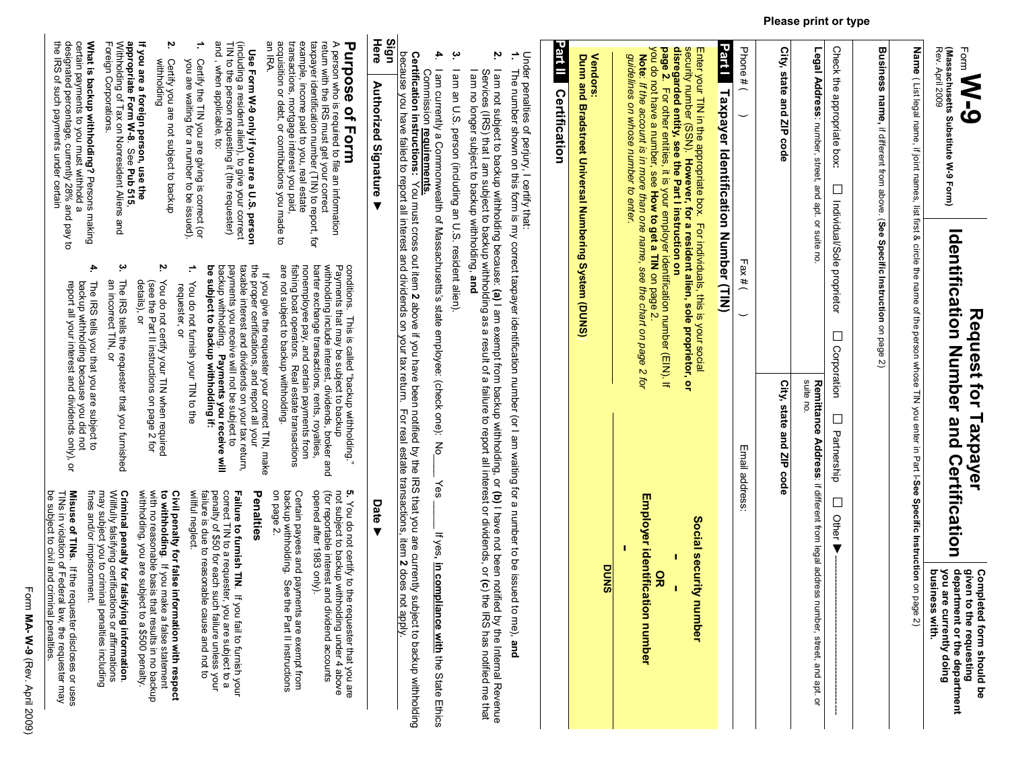| (Massachusetts Substitute W-9 Form)<br>Rev. April 2009<br>Form<br><b>S-M</b>                                                                                                                                                                                                                                 | Identification Number and Certification<br>Request for Taxpayer                                                                                                                                      | department or the department<br>given to the requesting<br>you are<br><b>Completed form should be</b><br>currently doing                                                                                                                     |
|--------------------------------------------------------------------------------------------------------------------------------------------------------------------------------------------------------------------------------------------------------------------------------------------------------------|------------------------------------------------------------------------------------------------------------------------------------------------------------------------------------------------------|----------------------------------------------------------------------------------------------------------------------------------------------------------------------------------------------------------------------------------------------|
|                                                                                                                                                                                                                                                                                                              | Name (List legal name, if joint names, list fist & circle the neare of the person whose TIN you enter in Part L-See Specific Instruction on pad                                                      | business with.<br>9e 2)                                                                                                                                                                                                                      |
|                                                                                                                                                                                                                                                                                                              |                                                                                                                                                                                                      |                                                                                                                                                                                                                                              |
| Business name, if different from above. (See Specific Instruction on page 2)                                                                                                                                                                                                                                 |                                                                                                                                                                                                      |                                                                                                                                                                                                                                              |
| Check the appropriate box:<br>$\Box$<br>Individual/Sole proprietor                                                                                                                                                                                                                                           | ⊔<br>Corporation<br>$\Box$<br>Partnership                                                                                                                                                            | $\Box$<br>Other                                                                                                                                                                                                                              |
| Legal Address: number, street, and apt. or suite no.                                                                                                                                                                                                                                                         | suite no.                                                                                                                                                                                            | Remittance Address: if different from legal address number, street, and apt. or                                                                                                                                                              |
| City, state and ZIP<br>code                                                                                                                                                                                                                                                                                  | City, state and ZIP code                                                                                                                                                                             |                                                                                                                                                                                                                                              |
| Phone # $($                                                                                                                                                                                                                                                                                                  | Fax# $($<br>Email addres                                                                                                                                                                             | ŵ                                                                                                                                                                                                                                            |
| Part Taxpayer Identification Number (TIN)                                                                                                                                                                                                                                                                    |                                                                                                                                                                                                      |                                                                                                                                                                                                                                              |
| <b>bage</b><br>disregarded entity, see the Part I instruction on<br>security number (SSN). However, for a resident alien, sole proprietor, or<br>Enter your TIN in the appropriate box. For individuals, this is your social<br>Ņ<br>For other entities, it is your employer identification number (EIN). If |                                                                                                                                                                                                      | Social security n<br>$\frac{8}{1}$<br>umber                                                                                                                                                                                                  |
| you do not have a number, see How to get a TIN on page 2.<br>Note: if the account is in more than one name, see the chart on page 2 for<br><b>guidelines</b><br>on whose number to enter.                                                                                                                    |                                                                                                                                                                                                      | <b>Employer identificati</b><br>on number                                                                                                                                                                                                    |
| <b>Vendors:</b><br>Duna and Bradstreet Chiversal Numbering System (DUNS)                                                                                                                                                                                                                                     |                                                                                                                                                                                                      | <b>DUNS</b>                                                                                                                                                                                                                                  |
| Part II<br>Certification                                                                                                                                                                                                                                                                                     |                                                                                                                                                                                                      |                                                                                                                                                                                                                                              |
|                                                                                                                                                                                                                                                                                                              | Under penalties of perjury, I certify that:<br>1. The number shown on this form is my correct taxpayer identification number (or I am waiting for a number to be issued                              | to me), and                                                                                                                                                                                                                                  |
| Ņ.                                                                                                                                                                                                                                                                                                           |                                                                                                                                                                                                      | l am not subject to backup withholding because: ( <b>a)</b> I am exempt from backup withholding, or <b>(b)</b> I have not been notified by the Internal Revenue<br>Services (IRS) that I am subject to backup withholding as a result of a f |
| بہ<br>I am an U.S. person (including an U.S. resident alien).                                                                                                                                                                                                                                                |                                                                                                                                                                                                      |                                                                                                                                                                                                                                              |
| <b>Certification instructions:</b><br>4.<br>Commission requirements.                                                                                                                                                                                                                                         | I am currently a Commonwealth of Massachusetts's state employee: (check one): No<br>Nou must cross out riem 2 above if you have been notified by the IRS that you are currently sur                  | Yes<br>If yes,<br>in compliance with the State Ethics<br>bject to backup withholding                                                                                                                                                         |
| dign                                                                                                                                                                                                                                                                                                         | because you have failed to report all interest and dividends on your tax return. For real estate transactions, item 2 does not                                                                       | Aldde                                                                                                                                                                                                                                        |
| Here<br><b>Authorized Signature</b>                                                                                                                                                                                                                                                                          |                                                                                                                                                                                                      | Date ▶                                                                                                                                                                                                                                       |
| A person who is required to file an information<br>return with the IRS must get your correct<br><b>Purpose of Form</b>                                                                                                                                                                                       | witholding include interest, dividends, broker and<br>conditions. This is called "backup with ho<br>Payments that may be subject to backup<br>This is called "backup with holding."                  | (for reportable interest and<br>not subject to packing sithm<br>5. You do not certify to the requester that you are<br>dividend accounts<br>plding under 4 above                                                                             |
| transactions, mortgage interest you paid<br>example, income paid to you, real estate<br>taxpayer identification number (HIN) to report, tor                                                                                                                                                                  | nonemployee pay, and certain payments from<br>barter exchange transactions, rents, royalties,<br>fishing boat operators. Real estate transactions                                                    | Certain payees and payments are exempt from<br>backup withholding. See the Part II instructions<br>opened after 1983 only).<br>Part II instructions                                                                                          |
| an IRA.<br>acquisition or debt, or contributions you made to                                                                                                                                                                                                                                                 | are not subject to backup withholding<br>If you give the requester your correct TIN, make                                                                                                            | on page 2.<br>Penalties                                                                                                                                                                                                                      |
| Use Form W-9 only if you are a U.S. person<br>(including a resident alien), to give your correct<br>TIN to the person requesting it (the requester)<br>and , when applicable, to:                                                                                                                            | the proper certifications, and report all your<br>packtp withholding. Payments you receive will<br>payments you receive will not be subject to<br>taxable interest and dividends on your tax return, | penalty of \$50 for each such<br>correct TIN to a requester,<br>Failure to furnish TIN. If you fail to furnish your<br>you are subject to a<br>h failure unless your                                                                         |
| Certify the TIN you are giving is correct (or<br>you are waiting for a number to be issued).                                                                                                                                                                                                                 | ÷,<br>န္စ<br>subject to backup withholding if:<br>You do not furnish your TIN to the<br>requester,<br>ă                                                                                              | willful neglect.<br>failure is due to reasonable<br>cause and not to                                                                                                                                                                         |
| 'n,<br>withholding<br>Certify you are not subject to packup                                                                                                                                                                                                                                                  | 'n,<br>You do not certify your TIN when required<br>υ<br>ni ≡ni<br>ココココラス<br>3<br>3                                                                                                                  | with no reasonable<br>Civil penalty for false information with respe<br>to withholding. If you make a false statement<br>pasis that results in no backing<br>rmation with respect                                                            |

Please print or type

### Form MA-W-9 (Rev. April 2009) M-A-9 (Rev. April 2009)

details), or

(see the Part II instructions on page 2 for You do not certify your TIN when required

You do not certify your TIN when required<br>(see the Part II instructions on page 2 for<br>details), or

appropriate Form W-8

What is backup withholding?

the IRS of such payments under certain designated percentage, currently 28% and pay to certain payments to you must withhold a

What is backup withholding? Persons making<br>certain payments to you must withhold a<br>designated percentage, currently 28% and pay to<br>the IRS of such payments under certain

Persons making

4.

The IRS tells you that you are subject to

Foreign Corporations.

.<br>See<br>See

Withholding of Tax on Nonresident Aliens and

Pub 515,

بب

an incorrect TIN, or

an incorrect TIN, or

The IRS tells the requester that you furnished

The IRS tells the requester that you furnished

Criminal penalty for falsifying information withholding, you are subject to a \$500 penalty.

If you are a foreign person, use the

The IRS tells you that you are subject to<br>backup withholding because you did not<br>report all your interest and dividends only), or report all your interest and dividends only), or backup withholding because you did not to withholding. If you make a false statement<br>with no reasonable basis that results in no backup<br>withholding, you are subject to a \$500 penalty.<br>Criminal penalty for falsifying information.<br>Willfully falsifying certificati be subject to civil and criminal penalties. TINs in violation of Federal law, the requester may